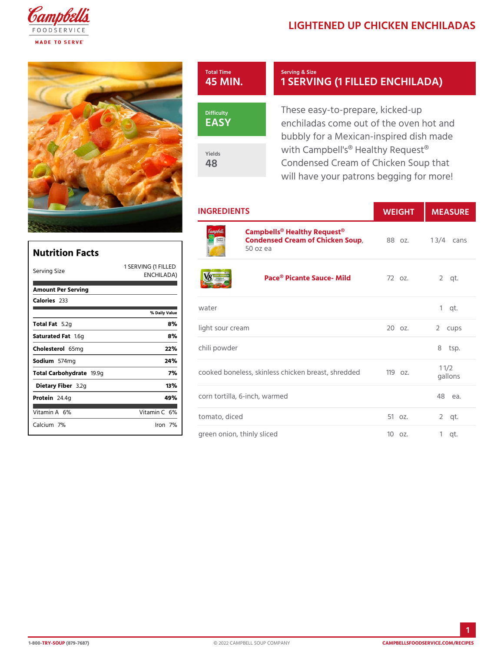## LIGHTENED UP CHICKEN E



48

## Serving & Size 1 SERVING (1 FILLED EN

EASY Yields

These easy-to-prepare, kickedenchiladas come out of the oven bubbly for a Mexican-inspired d with Campbell's<sup>®</sup> Healthy Reque Condensed Cream of Chicken So will have your patrons begging

## INGREDIENTS WEIGH MEASURE

[Campbells® Healthy R](https://www.campbellsfoodservice.com/product/cream-of-chicken-soup)equest® Condensed Cream of Chicken Soup 1 3/4 cans 50 oz ea

| Nutrition Facts         |                                   |       |
|-------------------------|-----------------------------------|-------|
| Serving Size            | 1 SERVING († FILLED<br>ENCHILADA) |       |
| Amount Per Serving      |                                   |       |
| Calorie2s33             |                                   |       |
|                         | % Daily Vallue                    | wate  |
| Total F5at2g            | 8%                                | light |
| Saturated 1F.&mg        | 8%                                |       |
| Choleste 65 lm g        | 22%                               | chili |
| Sodium 574 mg           | 24 %                              |       |
| Total Carbohy d9a9g     | 7%                                | cook  |
| Dietary F3ib2egr        | 13%                               |       |
| Protei <sub>24.4g</sub> | 49%                               | corn  |
| Vitamin6A%              | Vitamin6 <b>%</b>                 | toma  |
| Calciu7m%               | lron 7%                           |       |
|                         |                                   | aree  |

| A)         | FILLED<br>Pace® Picante Sauce– M72 obz.                                                                        |               | $2$ qt. |
|------------|----------------------------------------------------------------------------------------------------------------|---------------|---------|
| $\epsilon$ | water                                                                                                          |               | $1$ qt. |
|            | light sour cream                                                                                               | 20 oz. 2 cups |         |
|            | chili powder                                                                                                   |               | 8 tsp.  |
|            | cooked boneless, skinless chicken bire mozt, shredded<br>cooked boneless, skinless chicken bire mozt, shredded |               |         |
|            | corn tortilla, 6-inch, warmed                                                                                  |               | 48 еа.  |
|            | tomato, diced                                                                                                  | 51 oz. 2 qt.  |         |
|            | green onion, thinly sliced                                                                                     | 10 oz. 1 qt.  |         |